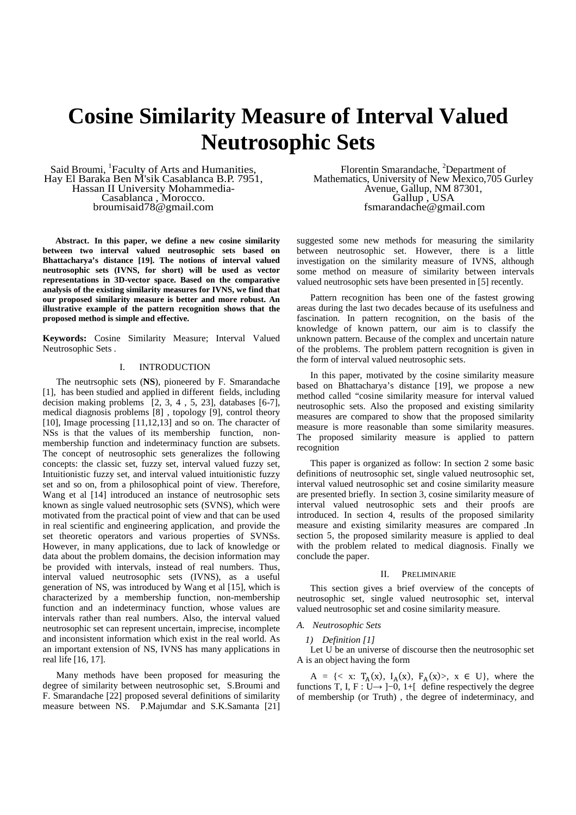# **Cosine Similarity Measure of Interval Valued Neutrosophic Sets**

Said Broumi, <sup>1</sup>Faculty of Arts and Humanities, Hay El Baraka Ben M'sik Casablanca B.P. 7951, Hassan II University Mohammedia-Casablanca , Morocco. broumisaid78@gmail.com

**Abstract. In this paper, we define a new cosine similarity between two interval valued neutrosophic sets based on Bhattacharya's distance [19]. The notions of interval valued neutrosophic sets (IVNS, for short) will be used as vector representations in 3D-vector space. Based on the comparative analysis of the existing similarity measures for IVNS, we find that our proposed similarity measure is better and more robust. An illustrative example of the pattern recognition shows that the proposed method is simple and effective.** 

**Keywords:** Cosine Similarity Measure; Interval Valued Neutrosophic Sets .

# I. INTRODUCTION

The neutrsophic sets (**NS**), pioneered by F. Smarandache [1], has been studied and applied in different fields, including decision making problems [2, 3, 4 , 5, 23], databases [6-7], medical diagnosis problems [8] , topology [9], control theory [10], Image processing [11,12,13] and so on. The character of NSs is that the values of its membership function, nonmembership function and indeterminacy function are subsets. The concept of neutrosophic sets generalizes the following concepts: the classic set, fuzzy set, interval valued fuzzy set, Intuitionistic fuzzy set, and interval valued intuitionistic fuzzy set and so on, from a philosophical point of view. Therefore, Wang et al [14] introduced an instance of neutrosophic sets known as single valued neutrosophic sets (SVNS), which were motivated from the practical point of view and that can be used in real scientific and engineering application, and provide the set theoretic operators and various properties of SVNSs. However, in many applications, due to lack of knowledge or data about the problem domains, the decision information may be provided with intervals, instead of real numbers. Thus, interval valued neutrosophic sets (IVNS), as a useful generation of NS, was introduced by Wang et al [15], which is characterized by a membership function, non-membership function and an indeterminacy function, whose values are intervals rather than real numbers. Also, the interval valued neutrosophic set can represent uncertain, imprecise, incomplete and inconsistent information which exist in the real world. As an important extension of NS, IVNS has many applications in real life [16, 17].

Many methods have been proposed for measuring the degree of similarity between neutrosophic set, S.Broumi and F. Smarandache [22] proposed several definitions of similarity measure between NS. P.Majumdar and S.K.Samanta [21]

Florentin Smarandache, <sup>2</sup>Department of Mathematics, University of New Mexico,705 Gurley Avenue, Gallup, NM 87301, Gallup<sup>1</sup>, USA fsmarandache@gmail.com

suggested some new methods for measuring the similarity between neutrosophic set. However, there is a little investigation on the similarity measure of IVNS, although some method on measure of similarity between intervals valued neutrosophic sets have been presented in [5] recently.

Pattern recognition has been one of the fastest growing areas during the last two decades because of its usefulness and fascination. In pattern recognition, on the basis of the knowledge of known pattern, our aim is to classify the unknown pattern. Because of the complex and uncertain nature of the problems. The problem pattern recognition is given in the form of interval valued neutrosophic sets.

In this paper, motivated by the cosine similarity measure based on Bhattacharya's distance [19], we propose a new method called "cosine similarity measure for interval valued neutrosophic sets. Also the proposed and existing similarity measures are compared to show that the proposed similarity measure is more reasonable than some similarity measures. The proposed similarity measure is applied to pattern recognition

This paper is organized as follow: In section 2 some basic definitions of neutrosophic set, single valued neutrosophic set, interval valued neutrosophic set and cosine similarity measure are presented briefly. In section 3, cosine similarity measure of interval valued neutrosophic sets and their proofs are introduced. In section 4, results of the proposed similarity measure and existing similarity measures are compared .In section 5, the proposed similarity measure is applied to deal with the problem related to medical diagnosis. Finally we conclude the paper.

#### II. PRELIMINARIE

This section gives a brief overview of the concepts of neutrosophic set, single valued neutrosophic set, interval valued neutrosophic set and cosine similarity measure.

#### *A. Neutrosophic Sets*

# *1) Definition [1]*

Let U be an universe of discourse then the neutrosophic set A is an object having the form

 $A = \{ \langle x : T_A(x), I_A(x), F_A(x) \rangle, x \in U \},$  where the functions T, I, F :  $\overline{U} \rightarrow ]-0, 1+[]$  define respectively the degree of membership (or Truth) , the degree of indeterminacy, and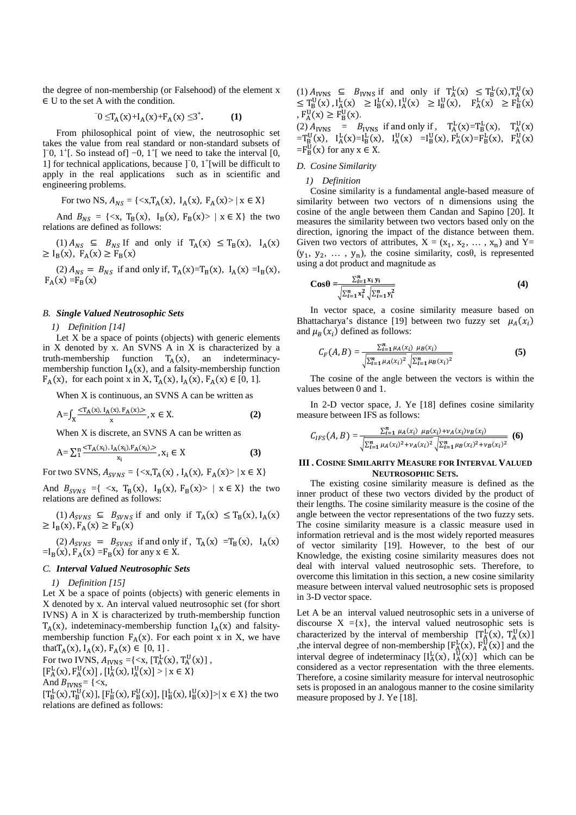the degree of non-membership (or Falsehood) of the element x ∈ U to the set A with the condition.

$$
U = T_A(x) + I_A(x) + F_A(x) \leq 3^+.
$$
 (1)

From philosophical point of view, the neutrosophic set takes the value from real standard or non-standard subsets of ]<sup> $-0$ </sup>, 1<sup>+</sup>[. So instead of]  $-0$ , 1<sup>+</sup>[ we need to take the interval [0, 1] for technical applications, because ]<sup>-0</sup>, 1<sup>+</sup>[will be difficult to apply in the real applications such as in scientific and engineering problems.

For two NS, 
$$
A_{NS} = \{ \langle x, T_A(x), I_A(x), F_A(x) \rangle \mid x \in X \}
$$

And  $B_{NS} = \{ \langle x, T_B(x), I_B(x), F_B(x) \rangle \mid x \in X \}$  the two relations are defined as follows:

(1)  $A_{NS} \subseteq B_{NS}$  If and only if  $T_A(x) \leq T_B(x)$ ,  $I_A(x)$  $\geq I_B(x)$ ,  $F_A(x) \geq F_B(x)$ 

(2)  $A_{NS} = B_{NS}$  if and only if,  $T_A(x)=T_B(x)$ ,  $I_A(x) = I_B(x)$ ,  $F_A(x) = F_B(x)$ 

#### *B. Single Valued Neutrosophic Sets*

*1) Definition [14]* 

Let  $X$  be a space of points (objects) with generic elements in X denoted by x. An SVNS A in X is characterized by a truth-membership function  $T_A(x)$ , an indeterminacymembership function  $I_A(x)$ , and a falsity-membership function  $F_A(x)$ , for each point x in X,  $T_A(x)$ ,  $I_A(x)$ ,  $F_A(x) \in [0, 1]$ .

When X is continuous, an SVNS A can be written as

$$
A = \int_X \frac{}{x}, x \in X.
$$
 (2)

When X is discrete, an SVNS A can be written as

$$
A = \sum_{i=1}^{n} \frac{\langle \mathcal{T}_A(x_i), I_A(x_i), F_A(x_i) \rangle}{x_i}, x_i \in X
$$
 (3)

For two SVNS,  $A_{SVNS} = \{ \langle x, T_A(x), I_A(x), F_A(x) \rangle \mid x \in X \}$ 

And  $B_{SVNS} = \{ \langle x, T_B(x), I_B(x), F_B(x) \rangle \mid x \in X \}$  the two relations are defined as follows:

 $(1) A_{SVNS} \subseteq B_{SVNS}$  if and only if  $T_A(x) \leq T_B(x)$ ,  $I_A(x)$  $\geq I_B(x), F_A(x) \geq F_B(x)$ 

(2)  $A_{SVNS} = B_{SVNS}$  if and only if,  $T_A(x) = T_B(x)$ ,  $I_A(x)$  $=I_B(x)$ ,  $F_A(x) = F_B(x)$  for any  $x \in X$ .

# *C. Interval Valued Neutrosophic Sets*

#### *1) Definition [15]*

Let X be a space of points (objects) with generic elements in X denoted by x. An interval valued neutrosophic set (for short IVNS) A in X is characterized by truth-membership function  $T_A(x)$ , indeteminacy-membership function  $I_A(x)$  and falsitymembership function  $F_A(x)$ . For each point x in X, we have that  $T_A(x)$ ,  $I_A(x)$ ,  $F_A(x) \in [0, 1]$ .

For two IVNS,  $A_{IVNS} = \{ \langle x, [T_A^L(x), T_A^U(x)] \rangle, \}$  $[F_{A}^{L}(x), F_{A}^{U}(x)]$ ,  $[I_{A}^{L}(x), I_{A}^{U}(x)] > | x \in X$ 

And 
$$
B_{IVNS}
$$
 = {

 $[T_B^L(x), T_B^U(x)]$ ,  $[F_B^L(x), F_B^U(x)]$ ,  $[I_B^L(x), I_B^U(x)] > | x \in X$  the two relations are defined as follows:

(1)  $A_{IVNS} \subseteq B_{IVNS}$  if and only if  $T_A^L(x) \subseteq T_B^L(x)$ ,  $T_A^U(x)$  $\leq T_{B}^{U}(x)$ ,  $I_{A}^{L}(x) \geq I_{B}^{L}(x)$ ,  $I_{A}^{U}(x) \geq I_{B}^{U}(x)$ ,  $F_{A}^{L}(x) \geq F_{B}^{L}(x)$ ,  $F_A^{\text{U}}(x) \ge F_B^{\text{U}}(x)$ .

(2)  $A_{IVNS}$  =  $B_{IVNS}$  if and only if,  $T_A^L(x) = T_B^L(x)$ ,  $T_A^U(x)$  $= T_{B}^{U}(x), I_{A}^{L}(x) = I_{B}^{L}(x), I_{A}^{U}(x) = I_{B}^{U}(x), F_{A}^{L}(x) = F_{B}^{L}(x), F_{A}^{U}(x)$  $=F_B^{\text{U}}(x)$  for any  $x \in X$ .

#### *D. Cosine Similarity*

## *1) Definition*

Cosine similarity is a fundamental angle-based measure of similarity between two vectors of n dimensions using the cosine of the angle between them Candan and Sapino [20]. It measures the similarity between two vectors based only on the direction, ignoring the impact of the distance between them. Given two vectors of attributes,  $X = (x_1, x_2, ..., x_n)$  and  $Y =$  $(y_1, y_2, \ldots, y_n)$ , the cosine similarity, cos $\theta$ , is represented using a dot product and magnitude as

$$
\cos\theta = \frac{\sum_{i=1}^{n} x_i y_i}{\sqrt{\sum_{i=1}^{n} x_i^2} \sqrt{\sum_{i=1}^{n} y_i^2}}
$$
(4)

In vector space, a cosine similarity measure based on Bhattacharya's distance [19] between two fuzzy set  $\mu_A(x_i)$ and  $\mu_B(x_i)$  defined as follows:

$$
C_F(A, B) = \frac{\sum_{i=1}^n \mu_A(x_i) \mu_B(x_i)}{\sqrt{\sum_{i=1}^n \mu_A(x_i)^2} \sqrt{\sum_{i=1}^n \mu_B(x_i)^2}}
$$
(5)

The cosine of the angle between the vectors is within the values between 0 and 1.

In 2-D vector space, J. Ye [18] defines cosine similarity measure between IFS as follows:

$$
C_{IFS}(A,B) = \frac{\sum_{i=1}^{n} \mu_A(x_i) \mu_B(x_i) + \nu_A(x_i) \nu_B(x_i)}{\sqrt{\sum_{i=1}^{n} \mu_A(x_i)^2 + \nu_A(x_i)^2} \sqrt{\sum_{i=1}^{n} \mu_B(x_i)^2 + \nu_B(x_i)^2}}
$$
(6)

# **III . COSINE SIMILARITY MEASURE FOR INTERVAL VALUED NEUTROSOPHIC SETS.**

The existing cosine similarity measure is defined as the inner product of these two vectors divided by the product of their lengths. The cosine similarity measure is the cosine of the angle between the vector representations of the two fuzzy sets. The cosine similarity measure is a classic measure used in information retrieval and is the most widely reported measures of vector similarity [19]. However, to the best of our Knowledge, the existing cosine similarity measures does not deal with interval valued neutrosophic sets. Therefore, to overcome this limitation in this section, a new cosine similarity measure between interval valued neutrosophic sets is proposed in 3-D vector space.

Let A be an interval valued neutrosophic sets in a universe of discourse  $X = \{x\}$ , the interval valued neutrosophic sets is characterized by the interval of membership  $[T_A^L(x), T_A^U(x)]$ ,the interval degree of non-membership  $[F_A^L(x), F_A^U(x)]$  and the interval degree of indeterminacy  $[I_A^L(x), I_A^U(x)]$  which can be considered as a vector representation with the three elements. Therefore, a cosine similarity measure for interval neutrosophic sets is proposed in an analogous manner to the cosine similarity measure proposed by J. Ye [18].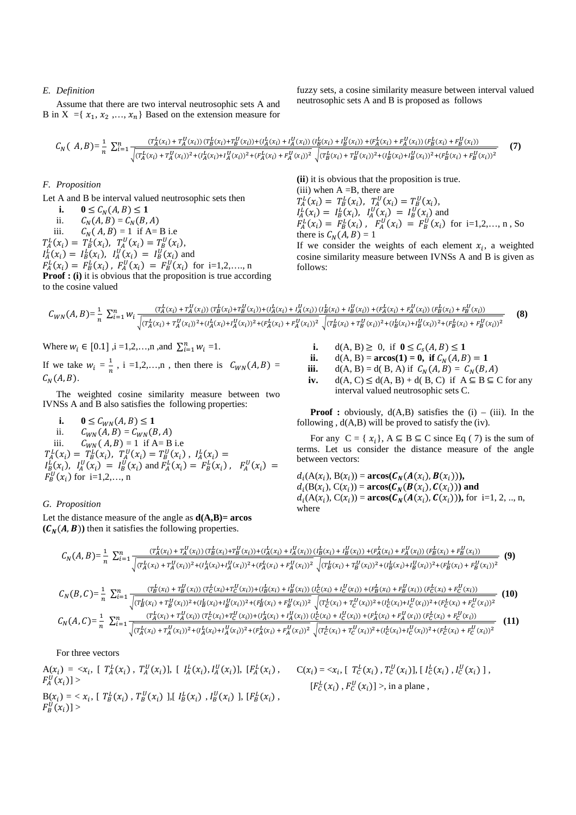## *E. Definition*

Assume that there are two interval neutrosophic sets A and B in X = { $x_1, x_2, ..., x_n$ } Based on the extension measure for fuzzy sets, a cosine similarity measure between interval valued neutrosophic sets A and B is proposed as follows

$$
C_N(A,B) = \frac{1}{n} \sum_{i=1}^n \frac{(T_A^L(x_i) + T_A^U(x_i)) (T_B^L(x_i) + T_B^U(x_i)) + (T_A^L(x_i) + T_A^U(x_i)) (T_B^L(x_i) + T_B^U(x_i)) + (F_A^L(x_i) + F_A^U(x_i)) (F_B^L(x_i) + F_B^U(x_i))}{\sqrt{(T_A^L(x_i) + T_A^U(x_i))^2 + (T_A^L(x_i) + T_A^U(x_i))^2 + (T_A^L(x_i) + T_A^U(x_i))^2 + (T_A^L(x_i) + T_A^U(x_i))^2 + (T_A^L(x_i) + T_A^U(x_i))^2 + (T_A^L(x_i) + T_A^U(x_i))^2 + (T_A^L(x_i) + T_A^U(x_i))^2 + (T_A^L(x_i) + T_A^U(x_i))^2 + (T_A^L(x_i) + T_A^U(x_i))^2 + (T_A^L(x_i) + T_A^U(x_i))^2 + (T_A^L(x_i) + T_A^U(x_i))^2 + (T_A^L(x_i) + T_A^U(x_i))^2 + (T_A^L(x_i) + T_A^U(x_i))^2 + (T_A^L(x_i) + T_A^U(x_i))^2 + (T_A^L(x_i) + T_A^U(x_i))^2 + (T_A^L(x_i) + T_A^U(x_i))^2 + (T_A^L(x_i) + T_A^U(x_i))^2 + (T_A^L(x_i) + T_A^U(x_i))^2 + (T_A^L(x_i) + T_A^U(x_i))^2 + (T_A^L(x_i) + T_A^U(x_i))^2 + (T_A^L(x_i) + T_A^U(x_i))^2 + (T_A^L(x_i) + T_A^U(x_i))^2 + (T_A^L(x_i) + T_A^U(x_i))^2 + (T_A^L(x_i) + T_A^U(x_i))^2 + (T_A^L(x_i) + T_A^U(x_i))^2 + (T_A^L(x_i) + T_A^U(x_i))^2 + (T_A^L(x_i) + T_A^U(x_i))^2 + (T_A^L(x_i) + T_A^U(x_i))^2 + (T_A^L(x_i) + T_A^U(x_i))^2 + (T_A^L(x_i) + T_A^U(x_i))^2 + (T_A^L(x_i) + T_A^U(x_i))^2 + (T_A^L(x_i) + T_A^U(x_i))^2 + (T_A^L(x_i) + T_A^U(x_i))^2 + (T_A^L(x_i) + T_A^U(x_i))^2 + (T_A^L(x_i) + T_A^U(x_i))^2 + (T_A^
$$

# *F. Proposition*

Let A and B be interval valued neutrosophic sets then

**i.**  $0 \le C_N(A, B) \le 1$ ii.  $C_N(A, B) = C_N(B, A)$ iii.  $C_N$  $C_N(A, B) = 1$  if A= B i.e  $T_A^L(x_i) = T_B^L(x_i), T_A^U(x_i) = T_B^U(x_i),$  $I_A^L(x_i) = I_B^L(x_i)$ ,  $I_A^U(x_i) = I_B^U(x_i)$  and  $F_A^L(x_i) = F_B^L(x_i)$ ,  $F_A^U(x_i) = F_B^U(x_i)$  for i=1,2,..., n **Proof : (i)** it is obvious that the proposition is true according to the cosine valued

**(ii**) it is obvious that the proposition is true.

(iii) when  $A = B$ , there are  $T_A^L(x_i) = T_B^L(x_i), T_A^U(x_i) = T_B^U(x_i),$  $I_A^L(x_i) = I_B^L(x_i)$ ,  $I_A^U(x_i) = I_B^U(x_i)$  and  $F_A^L(x_i) = F_B^L(x_i)$ ,  $F_A^U(x_i) = F_B^U(x_i)$  for i=1,2,..., n, So there is  $C_N(A, B) = 1$ If we consider the weights of each element  $x_i$ , a weighted

cosine similarity measure between IVNSs A and B is given as follows:

$$
C_{WN}(A,B) = \frac{1}{n} \sum_{i=1}^{n} w_i \frac{(T_A^L(x_i) + T_A^U(x_i)) (T_B^L(x_i) + T_B^U(x_i)) + (T_A^L(x_i) + T_A^U(x_i)) (T_B^L(x_i) + T_B^U(x_i)) + (T_A^L(x_i) + T_A^U(x_i)) (T_B^L(x_i) + T_B^U(x_i))}{(T_A^L(x_i) + T_A^U(x_i))^2 + (T_A^L(x_i) + T_A^U(x_i))^2 + (T_A^L(x_i) + T_A^U(x_i))^2} \frac{(B(x_i) + T_A^U(x_i)) (T_B^L(x_i) + T_A^U(x_i)) (T_B^L(x_i) + T_A^U(x_i))}{(T_A^L(x_i) + T_A^U(x_i))^2 + (T_A^L(x_i) + T_A^U(x_i))^2} \frac{(B(x_i) + T_A^U(x_i)) (T_B^L(x_i) + T_A^U(x_i))}{(T_A^L(x_i) + T_A^U(x_i))^2}
$$
(8)

Where  $w_i \in [0.1]$ ,  $i = 1, 2, ..., n$ , and  $\sum_{i=1}^{n} w_i = 1$ .

If we take  $w_i = \frac{1}{n}$  $\frac{1}{n}$ , i =1,2,...,n, then there is  $C_{WN}(A, B) =$  $C_N(A, B)$ .

The weighted cosine similarity measure between two IVNSs A and B also satisfies the following properties:

- **i.**  $0 \le C_{WN}(A, B) \le 1$
- ii.  $C_{WN}(A, B) = C_{WN}(B, A)$

iii.  $C_{W,N}(A, B) = 1$  if A= B i.e

 $T_A^L(x_i) = T_B^L(x_i), T_A^U(x_i) = T_B^U(x_i), I_A^L(x_i) =$ 

 $I_{B}^{L}(x_i)$ ,  $I_{A}^{U}(x_i) = I_{B}^{U}(x_i)$  and  $F_{A}^{L}(x_i) = F_{B}^{L}(x_i)$ ,  $F_{A}^{U}(x_i) =$  $F_B^U(x_i)$  for i=1,2,..., n

# *G. Proposition*

Let the distance measure of the angle as  $d(A,B)$ = arcos  $(\mathcal{C}_N(A, B))$  then it satisfies the following properties.

- **i.** d(A, B)  $\ge$  0, if  $0 \le C_s(A, B) \le 1$ <br>**ii.** d(A, B) = **arcos(1) = 0, if**  $C_w(A, B)$
- **ii.**  $d(A, B) = \arccos(1) = 0$ , if  $C_N(A, B) = 1$
- **iii.**  $d(A, B) = d(B, A)$  if  $C_N(A, B) = C_N(B, A)$
- **iv.**  $d(A, C) \leq d(A, B) + d(B, C)$  if  $A \subseteq B \subseteq C$  for any interval valued neutrosophic sets C.

**Proof :** obviously,  $d(A,B)$  satisfies the  $(i) - (iii)$ . In the following ,  $d(A,B)$  will be proved to satisfy the (iv).

For any  $C = \{x_i\}$ ,  $A \subseteq B \subseteq C$  since Eq (7) is the sum of terms. Let us consider the distance measure of the angle between vectors:

 $d_i(A(x_i), B(x_i)) = \arccos(\mathcal{C}_N(A(x_i), B(x_i))),$  $d_i(B(x_i), C(x_i)) = \arccos(\mathcal{C}_N(\mathcal{B}(x_i), \mathcal{C}(x_i)))$  and  $d_i(A(x_i), C(x_i)) = \arccos(\mathcal{C}_N(A(x_i), \mathcal{C}(x_i))),$  for i=1, 2, .., n, where

$$
C_N(A,B) = \frac{1}{n} \sum_{i=1}^n \frac{(T_A^L(x_i) + T_A^U(x_i)) (T_B^L(x_i) + T_B^U(x_i)) + (I_A^L(x_i) + I_A^U(x_i)) (I_B^L(x_i) + I_B^U(x_i)) + (F_A^L(x_i) + F_A^U(x_i)) (F_B^L(x_i) + F_B^U(x_i))}{\sqrt{(T_A^L(x_i) + T_A^U(x_i))^2 + (I_A^L(x_i) + I_A^U(x_i))^2 + (F_A^L(x_i) + F_A^U(x_i))^2} + (I_B^L(x_i) + I_B^U(x_i))^2 + (I_B^L(x_i) + I_B^U(x_i))^2 + (I_B^L(x_i) + I_B^U(x_i))^2} \tag{9}
$$

$$
C_{N}(B,C) = \frac{1}{n} \sum_{i=1}^{n} \frac{(T_{B}^{L}(x_{i}) + T_{B}^{U}(x_{i})) (T_{C}^{L}(x_{i}) + T_{C}^{U}(x_{i})) + (l_{B}^{L}(x_{i}) + l_{B}^{U}(x_{i})) (l_{C}^{L}(x_{i}) + I_{C}^{U}(x_{i})) + (F_{B}^{L}(x_{i}) + F_{B}^{U}(x_{i})) (F_{C}^{L}(x_{i}) + F_{C}^{U}(x_{i}))}{\sqrt{(T_{B}^{L}(x_{i}) + T_{B}^{U}(x_{i}))^{2} + (I_{B}^{L}(x_{i}) + I_{B}^{U}(x_{i}))^{2} + (F_{B}^{L}(x_{i}) + F_{B}^{U}(x_{i}))^{2}} \sqrt{(T_{C}^{L}(x_{i}) + T_{C}^{U}(x_{i}))^{2} + (I_{C}^{L}(x_{i}) + I_{C}^{U}(x_{i}))^{2} + (F_{C}^{L}(x_{i}) + F_{C}^{U}(x_{i}))^{2} + (F_{C}^{L}(x_{i}) + F_{C}^{U}(x_{i}))^{2} + (F_{C}^{L}(x_{i}) + F_{C}^{U}(x_{i}))^{2} + (F_{C}^{L}(x_{i}) + F_{C}^{U}(x_{i}))^{2} + (F_{C}^{L}(x_{i}) + F_{C}^{U}(x_{i})) (T_{C}^{L}(x_{i}) + T_{C}^{U}(x_{i})) + (I_{A}^{L}(x_{i}) + I_{A}^{U}(x_{i})) (I_{C}^{L}(x_{i}) + F_{A}^{U}(x_{i})) + (F_{A}^{L}(x_{i}) + F_{A}^{U}(x_{i})) (F_{C}^{L}(x_{i}) + F_{C}^{U}(x_{i}))^{2}
$$
\n(11)

## For three vectors

 $A(x_i) = \langle x_i, [T_A^L(x_i), T_A^U(x_i)], [I_A^L(x_i), I_A^U(x_i)], [F_A^L(x_i),$  $F_A^U(x_i)$ ] >  $B(x_i) = \langle x_i, [T_B^L(x_i), T_B^U(x_i)], [I_B^L(x_i), I_B^U(x_i)], [F_B^L(x_i),$  $F_B^U(x_i)] >$  $[F_c^L(x_i), F_c^U(x_i)] >$ , in a plane,

 $C(x_i) = \langle x_i, [T_C^L(x_i), T_C^U(x_i)], [I_C^L(x_i), I_C^U(x_i)]$ ,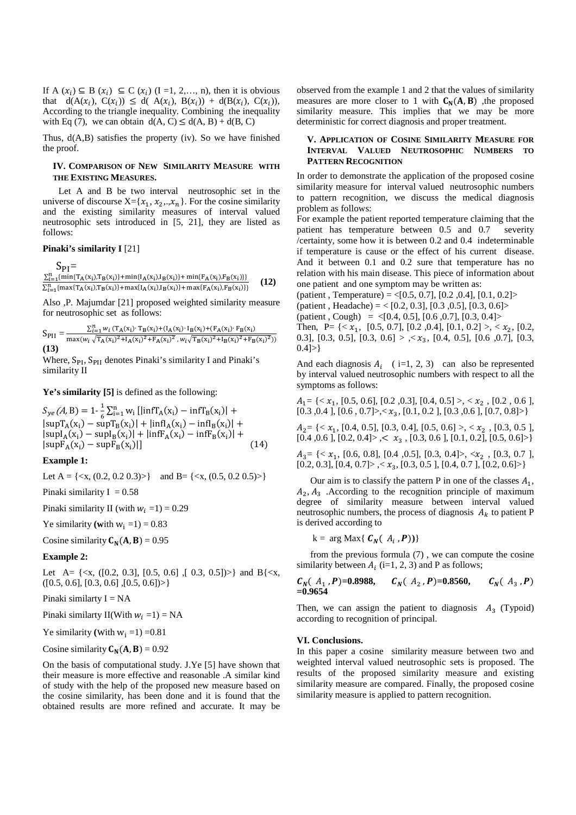If A  $(x_i) \subseteq B$   $(x_i) \subseteq C$   $(x_i)$   $(I = 1, 2, \ldots, n)$ , then it is obvious that  $d(A(x_i), C(x_i)) \le d(A(x_i), B(x_i)) + d(B(x_i), C(x_i)),$ According to the triangle inequality. Combining the inequality with Eq (7), we can obtain  $d(A, C) \le d(A, B) + d(B, C)$ 

Thus, d(A,B) satisfies the property (iv). So we have finished the proof.

# **IV. COMPARISON OF NEW SIMILARITY MEASURE WITH THE EXISTING MEASURES.**

 Let A and B be two interval neutrosophic set in the universe of discourse  $X = \{x_1, x_2, x_n\}$ . For the cosine similarity and the existing similarity measures of interval valued neutrosophic sets introduced in [5, 21], they are listed as follows:

# **Pinaki's similarity I** [21]

$$
S_{PI} = \frac{\sum_{i=1}^{n} \{ \min\{T_A(x_i), T_B(x_i)\} + \min\{I_A(x_i), I_B(x_i)\} + \min\{F_A(x_i), F_B(x_i)\} \}}{\sum_{i=1}^{n} \{ \max\{T_A(x_i), T_B(x_i)\} + \max\{I_A(x_i), I_B(x_i)\} + \max\{F_A(x_i), F_B(x_i)\} \}} \quad (12)
$$

Also ,P. Majumdar [21] proposed weighted similarity measure for neutrosophic set as follows:

$$
S_{\rm PII} = \frac{\sum_{i=1}^{n} w_i (T_A(x_i) \cdot T_B(x_i) + (I_A(x_i) \cdot I_B(x_i) + (F_A(x_i) \cdot F_B(x_i)) \cdot T_B(x_i))}{\max(w_i \sqrt{T_A(x_i)^2 + I_A(x_i)^2 + F_A(x_i)^2}, w_i \sqrt{T_B(x_i)^2 + I_B(x_i)^2 + F_B(x_i)^2}))}
$$
(13)

Where, S<sub>PI</sub>, S<sub>PII</sub> denotes Pinaki's similarity I and Pinaki's similarity II

**Ye's similarity [5]** is defined as the following:

 $S_{ye}(A, B) = 1 - \frac{1}{6} \sum_{i=1}^{n} w_i \left[ \left| \inf T_A(x_i) - \inf T_B(x_i) \right| + \right]$  $|\sup T_A(x_i) - \sup T_B(x_i)| + |\inf A(x_i) - \inf B_B(x_i)| +$  $|\sup I_A(x_i) - \sup I_B(x_i)| + |\inf F_A(x_i) - \inf F_B(x_i)| +$  $|\text{supF}_A(x_i) - \text{supF}_B(x_i)|$  $[14]$ 

**Example 1:** 

Let A = { $\langle x, (0.2, 0.2, 0.3) \rangle$ } and B = { $\langle x, (0.5, 0.2, 0.5) \rangle$ }

Pinaki similarity I =  $0.58$ 

Pinaki similarity II (with  $w_i = 1$ ) = 0.29

Ye similarity (with  $w_i = 1$ ) = 0.83

Cosine similarity  $C_N(A, B) = 0.95$ 

#### **Example 2:**

Let A= {<x, ([0.2, 0.3], [0.5, 0.6] ,[ 0.3, 0.5])>} and B{<x,  $([0.5, 0.6], [0.3, 0.6], [0.5, 0.6]) \rangle$ 

Pinaki similarty  $I = NA$ 

Pinaki similarty II(With  $w_i = 1$ ) = NA

Ye similarity (with  $w_i = 1$ ) =0.81

Cosine similarity  $C_N(A, B) = 0.92$ 

On the basis of computational study. J.Ye [5] have shown that their measure is more effective and reasonable .A similar kind of study with the help of the proposed new measure based on the cosine similarity, has been done and it is found that the obtained results are more refined and accurate. It may be

observed from the example 1 and 2 that the values of similarity measures are more closer to 1 with  $C_N(A, B)$ , the proposed similarity measure. This implies that we may be more deterministic for correct diagnosis and proper treatment.

# **V. APPLICATION OF COSINE SIMILARITY MEASURE FOR INTERVAL VALUED NEUTROSOPHIC NUMBERS TO PATTERN RECOGNITION**

In order to demonstrate the application of the proposed cosine similarity measure for interval valued neutrosophic numbers to pattern recognition, we discuss the medical diagnosis problem as follows:

For example the patient reported temperature claiming that the patient has temperature between 0.5 and 0.7 severity /certainty, some how it is between 0.2 and 0.4 indeterminable if temperature is cause or the effect of his current disease. And it between 0.1 and 0.2 sure that temperature has no relation with his main disease. This piece of information about one patient and one symptom may be written as:

(patient, Temperature) =  $\langle$ [0.5, 0.7], [0.2, 0.4], [0.1, 0.2] > (patient, Headache) = < [0.2, 0.3], [0.3, 0.5], [0.3, 0.6] >  $(\text{patient}, \text{Cough}) = \langle [0.4, 0.5], [0.6, 0.7], [0.3, 0.4] \rangle$ Then,  $P = \{ \langle x_1, [0.5, 0.7], [0.2, 0.4], [0.1, 0.2] \rangle, \langle x_2, [0.2, 0.4], \langle x_1, [0.4, 0.4] \rangle \}$ 0.3], [0.3, 0.5], [0.3, 0.6] >  $\langle x_3, [0.4, 0.5], [0.6, 0.7], [0.3, 0.7]$  $0.41 >$ 

And each diagnosis  $A_i$  (i=1, 2, 3) can also be represented by interval valued neutrosophic numbers with respect to all the symptoms as follows:

 $A_1 = \{ \langle x_1, [0.5, 0.6], [0.2, 0.3], [0.4, 0.5] \rangle, \langle x_2, [0.2, 0.6], \rangle \}$  $[0.3, 0.4], [0.6, 0.7]>, \langle x_3, [0.1, 0.2], [0.3, 0.6], [0.7, 0.8] \rangle\}$ 

 $A_2$ = {<  $x_1$ , [0.4, 0.5], [0.3, 0.4], [0.5, 0.6] >, <  $x_2$ , [0.3, 0.5],  $[0.4, 0.6], [0.2, 0.4] > \langle x_3, [0.3, 0.6], [0.1, 0.2], [0.5, 0.6] > \rangle$ 

 $A_3 = \{ < x_1, [0.6, 0.8], [0.4, 0.5], [0.3, 0.4]>, < x_2, [0.3, 0.7],$ [0.2, 0.3], [0.4, 0.7]>,  $\langle x_3, [0.3, 0.5]$ , [0.4, 0.7], [0.2, 0.6]>}

Our aim is to classify the pattern  $P$  in one of the classes  $A_1$ ,  $A_2, A_3$ . According to the recognition principle of maximum degree of similarity measure between interval valued neutrosophic numbers, the process of diagnosis  $A_k$  to patient P is derived according to

$$
k = arg Max\{ C_N(A_i, P))\}
$$

from the previous formula (7) , we can compute the cosine similarity between  $A_i$  (i=1, 2, 3) and P as follows;

$$
C_N(A_1, P)=0.8988
$$
,  $C_N(A_2, P)=0.8560$ ,  $C_N(A_3, P)=0.9654$ 

Then, we can assign the patient to diagnosis  $A_3$  (Typoid) according to recognition of principal.

#### **VI. Conclusions.**

In this paper a cosine similarity measure between two and weighted interval valued neutrosophic sets is proposed. The results of the proposed similarity measure and existing similarity measure are compared. Finally, the proposed cosine similarity measure is applied to pattern recognition.